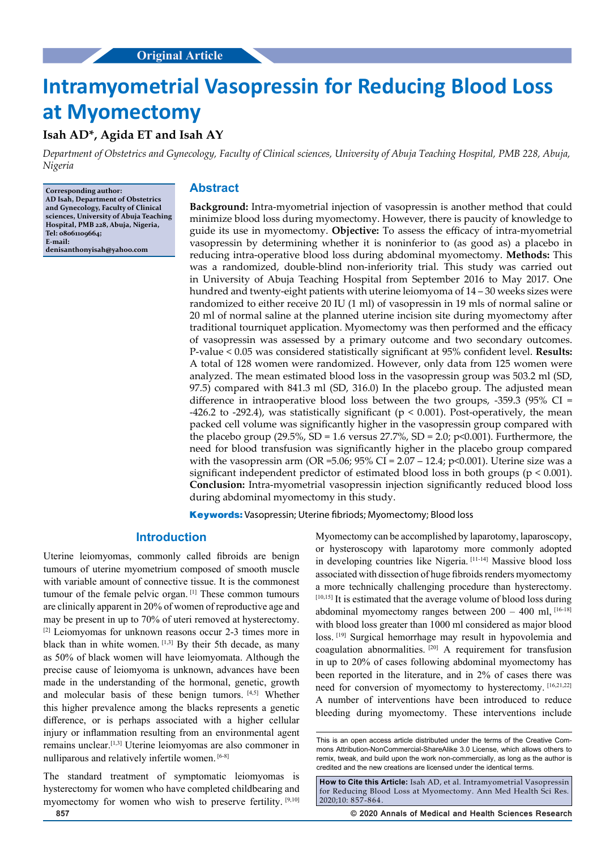# **Intramyometrial Vasopressin for Reducing Blood Loss at Myomectomy**

# **Isah AD\*, Agida ET and Isah AY**

*Department of Obstetrics and Gynecology, Faculty of Clinical sciences, University of Abuja Teaching Hospital, PMB 228, Abuja, Nigeria*

**Corresponding author: AD Isah, Department of Obstetrics and Gynecology, Faculty of Clinical sciences, University of Abuja Teaching Hospital, PMB 228, Abuja, Nigeria, Tel: 08061109664; E-mail: denisanthonyisah@yahoo.com**

# **Abstract**

**Background:** Intra-myometrial injection of vasopressin is another method that could minimize blood loss during myomectomy. However, there is paucity of knowledge to guide its use in myomectomy. **Objective:** To assess the efficacy of intra-myometrial vasopressin by determining whether it is noninferior to (as good as) a placebo in reducing intra-operative blood loss during abdominal myomectomy. **Methods:** This was a randomized, double-blind non-inferiority trial. This study was carried out in University of Abuja Teaching Hospital from September 2016 to May 2017. One hundred and twenty-eight patients with uterine leiomyoma of 14 – 30 weeks sizes were randomized to either receive 20 IU (1 ml) of vasopressin in 19 mls of normal saline or 20 ml of normal saline at the planned uterine incision site during myomectomy after traditional tourniquet application. Myomectomy was then performed and the efficacy of vasopressin was assessed by a primary outcome and two secondary outcomes. P-value < 0.05 was considered statistically significant at 95% confident level. **Results:**  A total of 128 women were randomized. However, only data from 125 women were analyzed. The mean estimated blood loss in the vasopressin group was 503.2 ml (SD, 97.5) compared with 841.3 ml (SD, 316.0) In the placebo group. The adjusted mean difference in intraoperative blood loss between the two groups, -359.3 (95% CI = -426.2 to -292.4), was statistically significant ( $p < 0.001$ ). Post-operatively, the mean packed cell volume was significantly higher in the vasopressin group compared with the placebo group (29.5%, SD = 1.6 versus  $27.7\%$ , SD = 2.0; p<0.001). Furthermore, the need for blood transfusion was significantly higher in the placebo group compared with the vasopressin arm (OR = 5.06;  $95\%$  CI = 2.07 – 12.4; p<0.001). Uterine size was a significant independent predictor of estimated blood loss in both groups ( $p < 0.001$ ). **Conclusion:** Intra-myometrial vasopressin injection significantly reduced blood loss during abdominal myomectomy in this study.

**Keywords:** Vasopressin; Uterine fibriods; Myomectomy; Blood loss

## **Introduction**

Uterine leiomyomas, commonly called fibroids are benign tumours of uterine myometrium composed of smooth muscle with variable amount of connective tissue. It is the commonest tumour of the female pelvic organ. [1] These common tumours are clinically apparent in 20% of women of reproductive age and may be present in up to 70% of uteri removed at hysterectomy. [2] Leiomyomas for unknown reasons occur 2-3 times more in black than in white women.  $[1,3]$  By their 5th decade, as many as 50% of black women will have leiomyomata. Although the precise cause of leiomyoma is unknown, advances have been made in the understanding of the hormonal, genetic, growth and molecular basis of these benign tumors. [4,5] Whether this higher prevalence among the blacks represents a genetic difference, or is perhaps associated with a higher cellular injury or inflammation resulting from an environmental agent remains unclear.[1,3] Uterine leiomyomas are also commoner in nulliparous and relatively infertile women. [6-8]

The standard treatment of symptomatic leiomyomas is hysterectomy for women who have completed childbearing and myomectomy for women who wish to preserve fertility. [9,10]

Myomectomy can be accomplished by laparotomy, laparoscopy, or hysteroscopy with laparotomy more commonly adopted in developing countries like Nigeria. [11-14] Massive blood loss associated with dissection of huge fibroids renders myomectomy a more technically challenging procedure than hysterectomy. [10,15] It is estimated that the average volume of blood loss during abdominal myomectomy ranges between  $200 - 400$  ml,  $[16-18]$ with blood loss greater than 1000 ml considered as major blood loss. [19] Surgical hemorrhage may result in hypovolemia and coagulation abnormalities. [20] A requirement for transfusion in up to 20% of cases following abdominal myomectomy has been reported in the literature, and in 2% of cases there was need for conversion of myomectomy to hysterectomy. [16,21,22] A number of interventions have been introduced to reduce bleeding during myomectomy. These interventions include

**857 © 2020 Annals of Medical and Health Sciences Research** 

This is an open access article distributed under the terms of the Creative Commons Attribution‑NonCommercial‑ShareAlike 3.0 License, which allows others to remix, tweak, and build upon the work non‑commercially, as long as the author is credited and the new creations are licensed under the identical terms.

**How to Cite this Article:** Isah AD, et al. Intramyometrial Vasopressin for Reducing Blood Loss at Myomectomy. Ann Med Health Sci Res. 2020;10: 857-864.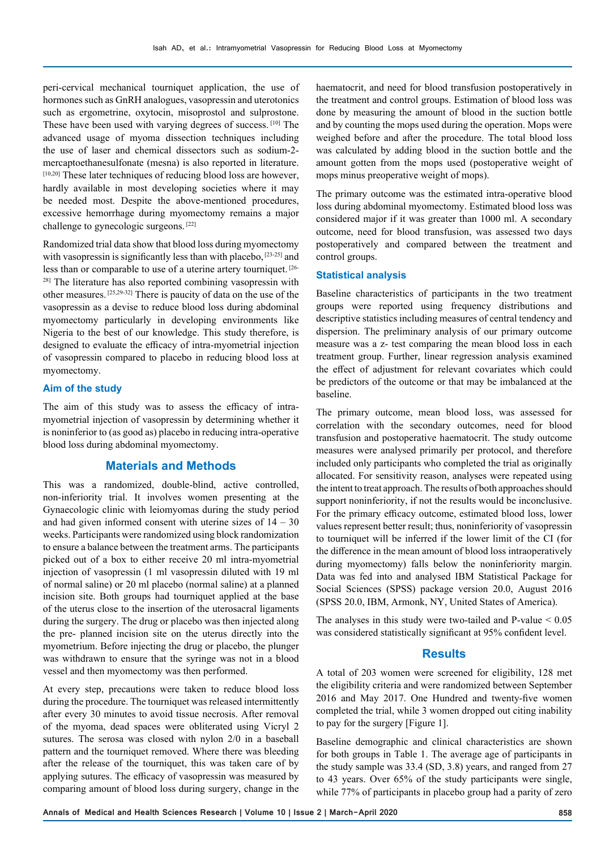peri-cervical mechanical tourniquet application, the use of hormones such as GnRH analogues, vasopressin and uterotonics such as ergometrine, oxytocin, misoprostol and sulprostone. These have been used with varying degrees of success. [10] The advanced usage of myoma dissection techniques including the use of laser and chemical dissectors such as sodium-2 mercaptoethanesulfonate (mesna) is also reported in literature.  $[10,20]$  These later techniques of reducing blood loss are however, hardly available in most developing societies where it may be needed most. Despite the above-mentioned procedures, excessive hemorrhage during myomectomy remains a major challenge to gynecologic surgeons. [22]

Randomized trial data show that blood loss during myomectomy with vasopressin is significantly less than with placebo,  $[23-25]$  and less than or comparable to use of a uterine artery tourniquet. [26- <sup>28]</sup> The literature has also reported combining vasopressin with other measures. [25,29-32] There is paucity of data on the use of the vasopressin as a devise to reduce blood loss during abdominal myomectomy particularly in developing environments like Nigeria to the best of our knowledge. This study therefore, is designed to evaluate the efficacy of intra-myometrial injection of vasopressin compared to placebo in reducing blood loss at myomectomy.

#### **Aim of the study**

The aim of this study was to assess the efficacy of intramyometrial injection of vasopressin by determining whether it is noninferior to (as good as) placebo in reducing intra-operative blood loss during abdominal myomectomy.

### **Materials and Methods**

This was a randomized, double-blind, active controlled, non-inferiority trial. It involves women presenting at the Gynaecologic clinic with leiomyomas during the study period and had given informed consent with uterine sizes of  $14 - 30$ weeks. Participants were randomized using block randomization to ensure a balance between the treatment arms. The participants picked out of a box to either receive 20 ml intra-myometrial injection of vasopressin (1 ml vasopressin diluted with 19 ml of normal saline) or 20 ml placebo (normal saline) at a planned incision site. Both groups had tourniquet applied at the base of the uterus close to the insertion of the uterosacral ligaments during the surgery. The drug or placebo was then injected along the pre- planned incision site on the uterus directly into the myometrium. Before injecting the drug or placebo, the plunger was withdrawn to ensure that the syringe was not in a blood vessel and then myomectomy was then performed.

At every step, precautions were taken to reduce blood loss during the procedure. The tourniquet was released intermittently after every 30 minutes to avoid tissue necrosis. After removal of the myoma, dead spaces were obliterated using Vicryl 2 sutures. The serosa was closed with nylon 2/0 in a baseball pattern and the tourniquet removed. Where there was bleeding after the release of the tourniquet, this was taken care of by applying sutures. The efficacy of vasopressin was measured by comparing amount of blood loss during surgery, change in the haematocrit, and need for blood transfusion postoperatively in the treatment and control groups. Estimation of blood loss was done by measuring the amount of blood in the suction bottle and by counting the mops used during the operation. Mops were weighed before and after the procedure. The total blood loss was calculated by adding blood in the suction bottle and the amount gotten from the mops used (postoperative weight of mops minus preoperative weight of mops).

The primary outcome was the estimated intra-operative blood loss during abdominal myomectomy. Estimated blood loss was considered major if it was greater than 1000 ml. A secondary outcome, need for blood transfusion, was assessed two days postoperatively and compared between the treatment and control groups.

#### **Statistical analysis**

Baseline characteristics of participants in the two treatment groups were reported using frequency distributions and descriptive statistics including measures of central tendency and dispersion. The preliminary analysis of our primary outcome measure was a z- test comparing the mean blood loss in each treatment group. Further, linear regression analysis examined the effect of adjustment for relevant covariates which could be predictors of the outcome or that may be imbalanced at the baseline.

The primary outcome, mean blood loss, was assessed for correlation with the secondary outcomes, need for blood transfusion and postoperative haematocrit. The study outcome measures were analysed primarily per protocol, and therefore included only participants who completed the trial as originally allocated. For sensitivity reason, analyses were repeated using the intent to treat approach. The results of both approaches should support noninferiority, if not the results would be inconclusive. For the primary efficacy outcome, estimated blood loss, lower values represent better result; thus, noninferiority of vasopressin to tourniquet will be inferred if the lower limit of the CI (for the difference in the mean amount of blood loss intraoperatively during myomectomy) falls below the noninferiority margin. Data was fed into and analysed IBM Statistical Package for Social Sciences (SPSS) package version 20.0, August 2016 (SPSS 20.0, IBM, Armonk, NY, United States of America).

The analyses in this study were two-tailed and P-value  $< 0.05$ was considered statistically significant at 95% confident level.

### **Results**

A total of 203 women were screened for eligibility, 128 met the eligibility criteria and were randomized between September 2016 and May 2017. One Hundred and twenty-five women completed the trial, while 3 women dropped out citing inability to pay for the surgery [Figure 1].

Baseline demographic and clinical characteristics are shown for both groups in Table 1. The average age of participants in the study sample was 33.4 (SD, 3.8) years, and ranged from 27 to 43 years. Over 65% of the study participants were single, while 77% of participants in placebo group had a parity of zero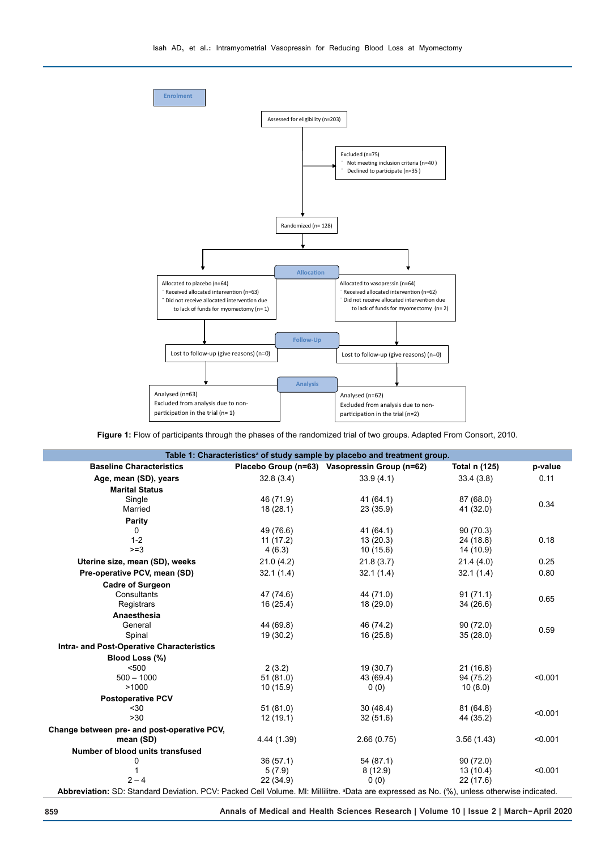

**Figure 1:** Flow of participants through the phases of the randomized trial of two groups. Adapted From Consort, 2010.

| <b>Baseline Characteristics</b>             |             | Placebo Group (n=63) Vasopressin Group (n=62) | Total n (125) | p-value           |  |
|---------------------------------------------|-------------|-----------------------------------------------|---------------|-------------------|--|
| Age, mean (SD), years                       | 32.8(3.4)   | 33.9(4.1)                                     | 33.4(3.8)     | 0.11              |  |
| <b>Marital Status</b>                       |             |                                               |               |                   |  |
| Single                                      | 46 (71.9)   | 41(64.1)                                      | 87(68.0)      |                   |  |
| Married                                     | 18(28.1)    | 23(35.9)<br>41 (32.0)                         |               | 0.34              |  |
| Parity                                      |             |                                               |               |                   |  |
| 0                                           | 49 (76.6)   | 41(64.1)                                      | 90(70.3)      |                   |  |
| $1 - 2$                                     | 11(17.2)    | 13(20.3)                                      | 24 (18.8)     | 0.18<br>14 (10.9) |  |
| $>=3$                                       | 4(6.3)      | 10(15.6)                                      |               |                   |  |
| Uterine size, mean (SD), weeks              | 21.0(4.2)   | 21.8(3.7)                                     | 21.4(4.0)     | 0.25              |  |
| Pre-operative PCV, mean (SD)                | 32.1(1.4)   | 32.1(1.4)                                     | 32.1(1.4)     | 0.80              |  |
| <b>Cadre of Surgeon</b>                     |             |                                               |               |                   |  |
| Consultants                                 | 47 (74.6)   | 44 (71.0)                                     | 91(71.1)      | 0.65              |  |
| Registrars                                  | 16(25.4)    | 18(29.0)                                      | 34(26.6)      |                   |  |
| Anaesthesia                                 |             |                                               |               |                   |  |
| General                                     | 44 (69.8)   | 46 (74.2)                                     | 90 (72.0)     | 0.59              |  |
| Spinal                                      | 19(30.2)    | 16(25.8)                                      | 35(28.0)      |                   |  |
| Intra- and Post-Operative Characteristics   |             |                                               |               |                   |  |
| Blood Loss (%)                              |             |                                               |               |                   |  |
| $500$                                       | 2(3.2)      | 19(30.7)                                      | 21(16.8)      |                   |  |
| $500 - 1000$                                | 51(81.0)    | 43 (69.4)                                     | 94 (75.2)     | < 0.001           |  |
| >1000                                       | 10(15.9)    | 0(0)                                          | 10(8.0)       |                   |  |
| <b>Postoperative PCV</b>                    |             |                                               |               |                   |  |
| $30$                                        | 51(81.0)    | 30(48.4)                                      | 81(64.8)      | < 0.001           |  |
| >30                                         | 12(19.1)    | 32(51.6)                                      | 44 (35.2)     |                   |  |
| Change between pre- and post-operative PCV, |             |                                               |               |                   |  |
| mean (SD)                                   | 4.44 (1.39) | 2.66(0.75)                                    | 3.56(1.43)    | < 0.001           |  |
| Number of blood units transfused            |             |                                               |               |                   |  |
| 0                                           | 36(57.1)    | 54 (87.1)                                     | 90(72.0)      |                   |  |
| 1                                           | 5(7.9)      | 8(12.9)                                       | 13(10.4)      | < 0.001           |  |
| $2 - 4$                                     | 22(34.9)    | 0(0)                                          | 22(17.6)      |                   |  |

**Abbreviation:** SD: Standard Deviation. PCV: Packed Cell Volume. Ml: Millilitre. ªData are expressed as No. (%), unless otherwise indicated.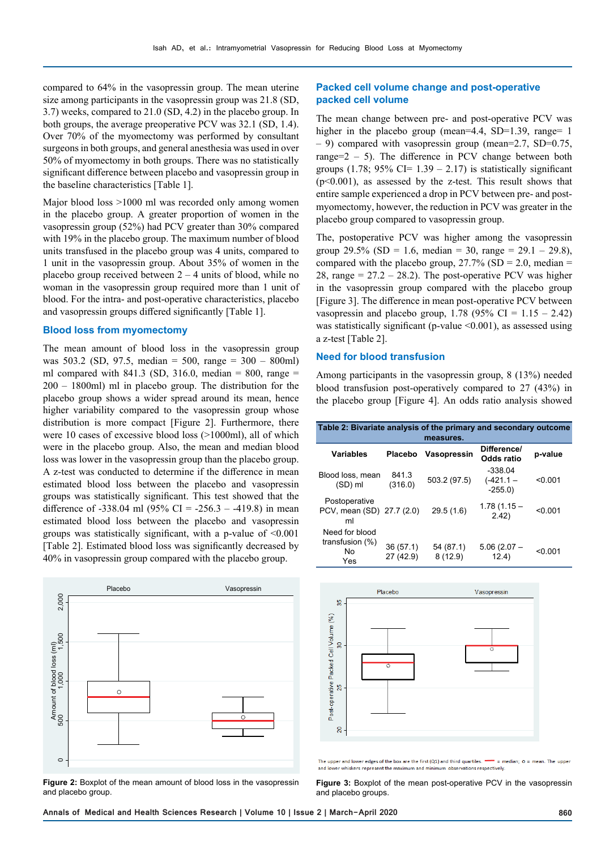compared to 64% in the vasopressin group. The mean uterine size among participants in the vasopressin group was 21.8 (SD, 3.7) weeks, compared to 21.0 (SD, 4.2) in the placebo group. In both groups, the average preoperative PCV was 32.1 (SD, 1.4). Over 70% of the myomectomy was performed by consultant surgeons in both groups, and general anesthesia was used in over 50% of myomectomy in both groups. There was no statistically significant difference between placebo and vasopressin group in the baseline characteristics [Table 1].

Major blood loss >1000 ml was recorded only among women in the placebo group. A greater proportion of women in the vasopressin group (52%) had PCV greater than 30% compared with 19% in the placebo group. The maximum number of blood units transfused in the placebo group was 4 units, compared to 1 unit in the vasopressin group. About 35% of women in the placebo group received between  $2 - 4$  units of blood, while no woman in the vasopressin group required more than 1 unit of blood. For the intra- and post-operative characteristics, placebo and vasopressin groups differed significantly [Table 1].

#### **Blood loss from myomectomy**

The mean amount of blood loss in the vasopressin group was 503.2 (SD, 97.5, median = 500, range = 300 – 800ml) ml compared with 841.3 (SD, 316.0, median = 800, range = 200 – 1800ml) ml in placebo group. The distribution for the placebo group shows a wider spread around its mean, hence higher variability compared to the vasopressin group whose distribution is more compact [Figure 2]. Furthermore, there were 10 cases of excessive blood loss (>1000ml), all of which were in the placebo group. Also, the mean and median blood loss was lower in the vasopressin group than the placebo group. A z-test was conducted to determine if the difference in mean estimated blood loss between the placebo and vasopressin groups was statistically significant. This test showed that the difference of -338.04 ml  $(95\% \text{ CI} = -256.3 - -419.8)$  in mean estimated blood loss between the placebo and vasopressin groups was statistically significant, with a p-value of <0.001 [Table 2]. Estimated blood loss was significantly decreased by 40% in vasopressin group compared with the placebo group.



**Figure 2:** Boxplot of the mean amount of blood loss in the vasopressin and placebo group.

#### **Packed cell volume change and post-operative packed cell volume**

The mean change between pre- and post-operative PCV was higher in the placebo group (mean=4.4, SD=1.39, range= 1  $-$  9) compared with vasopressin group (mean=2.7, SD=0.75, range= $2 - 5$ ). The difference in PCV change between both groups (1.78; 95% CI=  $1.39 - 2.17$ ) is statistically significant  $(p<0.001)$ , as assessed by the z-test. This result shows that entire sample experienced a drop in PCV between pre- and postmyomectomy, however, the reduction in PCV was greater in the placebo group compared to vasopressin group.

The, postoperative PCV was higher among the vasopressin group 29.5% (SD = 1.6, median = 30, range =  $29.1 - 29.8$ ), compared with the placebo group,  $27.7\%$  (SD = 2.0, median = 28, range  $= 27.2 - 28.2$ ). The post-operative PCV was higher in the vasopressin group compared with the placebo group [Figure 3]. The difference in mean post-operative PCV between vasopressin and placebo group, 1.78 (95% CI =  $1.15 - 2.42$ ) was statistically significant (p-value  $\leq 0.001$ ), as assessed using a z-test [Table 2].

#### **Need for blood transfusion**

Among participants in the vasopressin group, 8 (13%) needed blood transfusion post-operatively compared to 27 (43%) in the placebo group [Figure 4]. An odds ratio analysis showed

| Table 2: Bivariate analysis of the primary and secondary outcome<br>measures. |                       |                      |                                      |         |  |  |
|-------------------------------------------------------------------------------|-----------------------|----------------------|--------------------------------------|---------|--|--|
| Variables                                                                     | <b>Placebo</b>        | Vasopressin          | Difference/<br>Odds ratio            | p-value |  |  |
| Blood loss, mean<br>$(SD)$ ml                                                 | 841.3<br>(316.0)      | 503.2 (97.5)         | $-338.04$<br>$(-421.1 -$<br>$-255.0$ | < 0.001 |  |  |
| Postoperative<br>PCV, mean (SD) 27.7 (2.0)<br>ml                              |                       | 29.5(1.6)            | $1.78(1.15 -$<br>2.42)               | < 0.001 |  |  |
| Need for blood<br>transfusion $(\%)$<br>No<br>Yes                             | 36(57.1)<br>27 (42.9) | 54 (87.1)<br>8(12.9) | $5.06(2.07 -$<br>12.4)               | < 0.001 |  |  |



The upper and lower edges of the box are the first  $(Q1)$  and third quartiles. and lower whiskers represent the maximum and minimum observations respectively

**Figure 3:** Boxplot of the mean post-operative PCV in the vasopressin and placebo groups.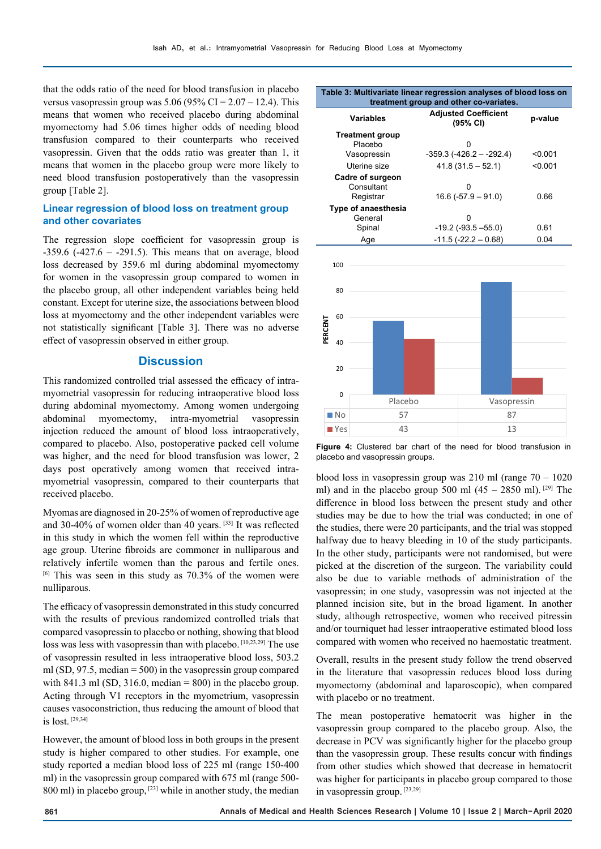that the odds ratio of the need for blood transfusion in placebo versus vasopressin group was  $5.06$  (95% CI =  $2.07 - 12.4$ ). This means that women who received placebo during abdominal myomectomy had 5.06 times higher odds of needing blood transfusion compared to their counterparts who received vasopressin. Given that the odds ratio was greater than 1, it means that women in the placebo group were more likely to need blood transfusion postoperatively than the vasopressin group [Table 2].

## **Linear regression of blood loss on treatment group and other covariates**

The regression slope coefficient for vasopressin group is  $-359.6$  ( $-427.6 - 291.5$ ). This means that on average, blood loss decreased by 359.6 ml during abdominal myomectomy for women in the vasopressin group compared to women in the placebo group, all other independent variables being held constant. Except for uterine size, the associations between blood loss at myomectomy and the other independent variables were not statistically significant [Table 3]. There was no adverse effect of vasopressin observed in either group.

### **Discussion**

This randomized controlled trial assessed the efficacy of intramyometrial vasopressin for reducing intraoperative blood loss during abdominal myomectomy. Among women undergoing abdominal myomectomy, intra-myometrial vasopressin injection reduced the amount of blood loss intraoperatively, compared to placebo. Also, postoperative packed cell volume was higher, and the need for blood transfusion was lower, 2 days post operatively among women that received intramyometrial vasopressin, compared to their counterparts that received placebo.

Myomas are diagnosed in 20-25% of women of reproductive age and 30-40% of women older than 40 years. [33] It was reflected in this study in which the women fell within the reproductive age group. Uterine fibroids are commoner in nulliparous and relatively infertile women than the parous and fertile ones.  $[6]$  This was seen in this study as 70.3% of the women were nulliparous.

The efficacy of vasopressin demonstrated in this study concurred with the results of previous randomized controlled trials that compared vasopressin to placebo or nothing, showing that blood loss was less with vasopressin than with placebo. [10,23,29] The use of vasopressin resulted in less intraoperative blood loss, 503.2 ml  $(SD, 97.5, \text{median} = 500)$  in the vasopressin group compared with 841.3 ml (SD, 316.0, median  $= 800$ ) in the placebo group. Acting through V1 receptors in the myometrium, vasopressin causes vasoconstriction, thus reducing the amount of blood that is lost. [29,34]

However, the amount of blood loss in both groups in the present study is higher compared to other studies. For example, one study reported a median blood loss of 225 ml (range 150-400 ml) in the vasopressin group compared with 675 ml (range 500- 800 ml) in placebo group, <sup>[23]</sup> while in another study, the median

#### **Table 3: Multivariate linear regression analyses of blood loss on treatment group and other co-variates.**

| <b>Variables</b>       | <b>Adjusted Coefficient</b><br>(95% CI) | p-value |
|------------------------|-----------------------------------------|---------|
| <b>Treatment group</b> |                                         |         |
| Placebo                | ŋ                                       |         |
| Vasopressin            | $-359.3$ ( $-426.2 - -292.4$ )          | < 0.001 |
| Uterine size           | $41.8(31.5 - 52.1)$                     | < 0.001 |
| Cadre of surgeon       |                                         |         |
| Consultant             | 0                                       |         |
| Registrar              | $16.6(-57.9 - 91.0)$                    | 0.66    |
| Type of anaesthesia    |                                         |         |
| General                | ŋ                                       |         |
| Spinal                 | $-19.2$ ( $-93.5 -55.0$ )               | 0.61    |
| Age                    | $-11.5(-22.2 - 0.68)$                   | 0.04    |



**Figure 4:** Clustered bar chart of the need for blood transfusion in placebo and vasopressin groups.

blood loss in vasopressin group was 210 ml (range 70 – 1020 ml) and in the placebo group 500 ml  $(45 - 2850$  ml). <sup>[29]</sup> The difference in blood loss between the present study and other studies may be due to how the trial was conducted; in one of the studies, there were 20 participants, and the trial was stopped halfway due to heavy bleeding in 10 of the study participants. In the other study, participants were not randomised, but were picked at the discretion of the surgeon. The variability could also be due to variable methods of administration of the vasopressin; in one study, vasopressin was not injected at the planned incision site, but in the broad ligament. In another study, although retrospective, women who received pitressin and/or tourniquet had lesser intraoperative estimated blood loss compared with women who received no haemostatic treatment.

Overall, results in the present study follow the trend observed in the literature that vasopressin reduces blood loss during myomectomy (abdominal and laparoscopic), when compared with placebo or no treatment.

The mean postoperative hematocrit was higher in the vasopressin group compared to the placebo group. Also, the decrease in PCV was significantly higher for the placebo group than the vasopressin group. These results concur with findings from other studies which showed that decrease in hematocrit was higher for participants in placebo group compared to those in vasopressin group. [23,29]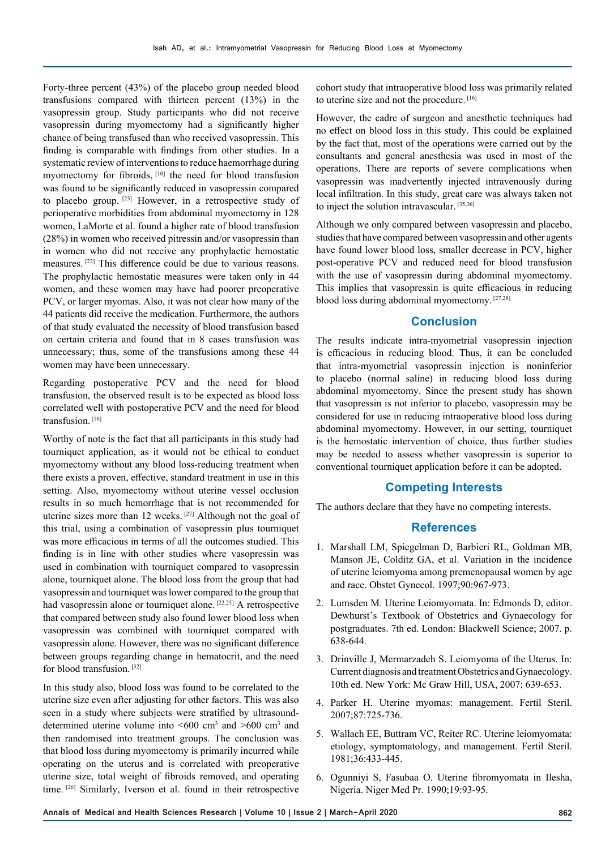Forty-three percent (43%) of the placebo group needed blood transfusions compared with thirteen percent (13%) in the vasopressin group. Study participants who did not receive vasopressin during myomectomy had a significantly higher chance of being transfused than who received vasopressin. This finding is comparable with findings from other studies. In a systematic review of interventions to reduce haemorrhage during myomectomy for fibroids, [10] the need for blood transfusion was found to be significantly reduced in vasopressin compared to placebo group. [23] However, in a retrospective study of perioperative morbidities from abdominal myomectomy in 128 women, LaMorte et al. found a higher rate of blood transfusion (28%) in women who received pitressin and/or vasopressin than in women who did not receive any prophylactic hemostatic measures. [22] This difference could be due to various reasons. The prophylactic hemostatic measures were taken only in 44 women, and these women may have had poorer preoperative PCV, or larger myomas. Also, it was not clear how many of the 44 patients did receive the medication. Furthermore, the authors of that study evaluated the necessity of blood transfusion based on certain criteria and found that in 8 cases transfusion was unnecessary; thus, some of the transfusions among these 44 women may have been unnecessary.

Regarding postoperative PCV and the need for blood transfusion, the observed result is to be expected as blood loss correlated well with postoperative PCV and the need for blood transfusion.<sup>[16]</sup>

Worthy of note is the fact that all participants in this study had tourniquet application, as it would not be ethical to conduct myomectomy without any blood loss-reducing treatment when there exists a proven, effective, standard treatment in use in this setting. Also, myomectomy without uterine vessel occlusion results in so much hemorrhage that is not recommended for uterine sizes more than 12 weeks. [27] Although not the goal of this trial, using a combination of vasopressin plus tourniquet was more efficacious in terms of all the outcomes studied. This finding is in line with other studies where vasopressin was used in combination with tourniquet compared to vasopressin alone, tourniquet alone. The blood loss from the group that had vasopressin and tourniquet was lower compared to the group that had vasopressin alone or tourniquet alone. [22,25] A retrospective that compared between study also found lower blood loss when vasopressin was combined with tourniquet compared with vasopressin alone. However, there was no significant difference between groups regarding change in hematocrit, and the need for blood transfusion. [32]

In this study also, blood loss was found to be correlated to the uterine size even after adjusting for other factors. This was also seen in a study where subjects were stratified by ultrasounddetermined uterine volume into  $\leq 600$  cm<sup>3</sup> and  $\geq 600$  cm<sup>3</sup> and then randomised into treatment groups. The conclusion was that blood loss during myomectomy is primarily incurred while operating on the uterus and is correlated with preoperative uterine size, total weight of fibroids removed, and operating time. [26] Similarly, Iverson et al. found in their retrospective

cohort study that intraoperative blood loss was primarily related to uterine size and not the procedure. [16]

However, the cadre of surgeon and anesthetic techniques had no effect on blood loss in this study. This could be explained by the fact that, most of the operations were carried out by the consultants and general anesthesia was used in most of the operations. There are reports of severe complications when vasopressin was inadvertently injected intravenously during local infiltration. In this study, great care was always taken not to inject the solution intravascular. [35,36]

Although we only compared between vasopressin and placebo, studies that have compared between vasopressin and other agents have found lower blood loss, smaller decrease in PCV, higher post-operative PCV and reduced need for blood transfusion with the use of vasopressin during abdominal myomectomy. This implies that vasopressin is quite efficacious in reducing blood loss during abdominal myomectomy. [27,28]

### **Conclusion**

The results indicate intra-myometrial vasopressin injection is efficacious in reducing blood. Thus, it can be concluded that intra-myometrial vasopressin injection is noninferior to placebo (normal saline) in reducing blood loss during abdominal myomectomy. Since the present study has shown that vasopressin is not inferior to placebo, vasopressin may be considered for use in reducing intraoperative blood loss during abdominal myomectomy. However, in our setting, tourniquet is the hemostatic intervention of choice, thus further studies may be needed to assess whether vasopressin is superior to conventional tourniquet application before it can be adopted.

### **Competing Interests**

The authors declare that they have no competing interests.

## **References**

- 1. Marshall LM, Spiegelman D, Barbieri RL, Goldman MB, Manson JE, Colditz GA, et al. Variation in the incidence of uterine leiomyoma among premenopausal women by age and race. Obstet Gynecol. 1997;90:967-973.
- 2. Lumsden M. Uterine Leiomyomata. In: Edmonds D, editor. Dewhurst's Textbook of Obstetrics and Gynaecology for postgraduates. 7th ed. London: Blackwell Science; 2007. p. 638-644.
- 3. Drinville J, Mermarzadeh S. Leiomyoma of the Uterus. In: Current diagnosis and treatment Obstetrics and Gynaecology. 10th ed. New York: Mc Graw Hill, USA, 2007; 639-653.
- 4. Parker H. Uterine myomas: management. Fertil Steril. 2007;87:725-736.
- 5. Wallach EE, Buttram VC, Reiter RC. Uterine leiomyomata: etiology, symptomatology, and management. Fertil Steril. 1981;36:433-445.
- 6. Ogunniyi S, Fasubaa O. Uterine fibromyomata in Ilesha, Nigeria. Niger Med Pr. 1990;19:93-95.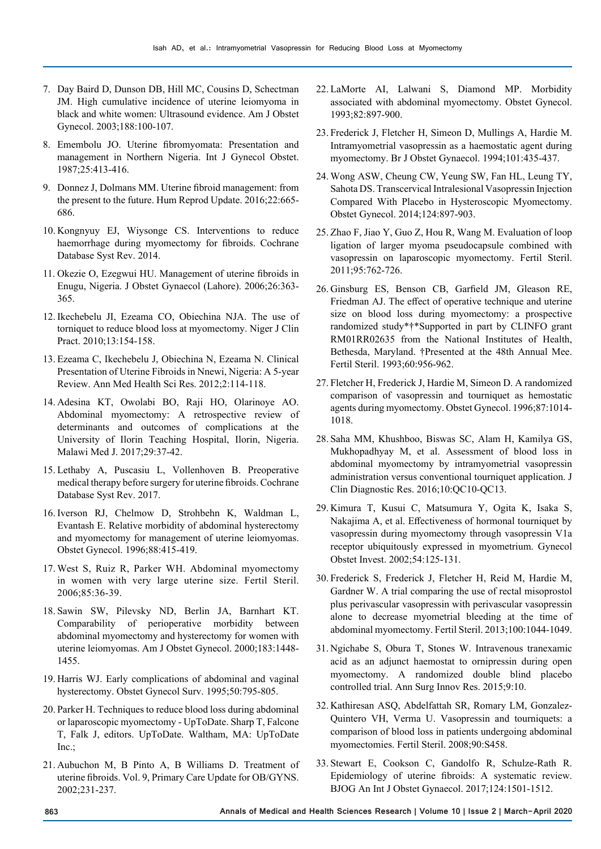- 7. Day Baird D, Dunson DB, Hill MC, Cousins D, Schectman JM. High cumulative incidence of uterine leiomyoma in black and white women: Ultrasound evidence. Am J Obstet Gynecol. 2003;188:100-107.
- 8. Emembolu JO. Uterine fibromyomata: Presentation and management in Northern Nigeria. Int J Gynecol Obstet. 1987;25:413-416.
- 9. Donnez J, Dolmans MM. Uterine fibroid management: from the present to the future. Hum Reprod Update. 2016;22:665- 686.
- 10. Kongnyuy EJ, Wiysonge CS. Interventions to reduce haemorrhage during myomectomy for fibroids. Cochrane Database Syst Rev. 2014.
- 11. Okezie O, Ezegwui HU. Management of uterine fibroids in Enugu, Nigeria. J Obstet Gynaecol (Lahore). 2006;26:363- 365.
- 12. Ikechebelu JI, Ezeama CO, Obiechina NJA. The use of torniquet to reduce blood loss at myomectomy. Niger J Clin Pract. 2010;13:154-158.
- 13. Ezeama C, Ikechebelu J, Obiechina N, Ezeama N. Clinical Presentation of Uterine Fibroids in Nnewi, Nigeria: A 5-year Review. Ann Med Health Sci Res. 2012;2:114-118.
- 14. Adesina KT, Owolabi BO, Raji HO, Olarinoye AO. Abdominal myomectomy: A retrospective review of determinants and outcomes of complications at the University of Ilorin Teaching Hospital, Ilorin, Nigeria. Malawi Med J. 2017;29:37-42.
- 15. Lethaby A, Puscasiu L, Vollenhoven B. Preoperative medical therapy before surgery for uterine fibroids. Cochrane Database Syst Rev. 2017.
- 16. Iverson RJ, Chelmow D, Strohbehn K, Waldman L, Evantash E. Relative morbidity of abdominal hysterectomy and myomectomy for management of uterine leiomyomas. Obstet Gynecol. 1996;88:415-419.
- 17. West S, Ruiz R, Parker WH. Abdominal myomectomy in women with very large uterine size. Fertil Steril. 2006;85:36-39.
- 18. Sawin SW, Pilevsky ND, Berlin JA, Barnhart KT. Comparability of perioperative morbidity between abdominal myomectomy and hysterectomy for women with uterine leiomyomas. Am J Obstet Gynecol. 2000;183:1448- 1455.
- 19. Harris WJ. Early complications of abdominal and vaginal hysterectomy. Obstet Gynecol Surv. 1995;50:795-805.
- 20. Parker H. Techniques to reduce blood loss during abdominal or laparoscopic myomectomy - UpToDate. Sharp T, Falcone T, Falk J, editors. UpToDate. Waltham, MA: UpToDate Inc.;
- 21. Aubuchon M, B Pinto A, B Williams D. Treatment of uterine fibroids. Vol. 9, Primary Care Update for OB/GYNS. 2002;231-237.
- 22. LaMorte AI, Lalwani S, Diamond MP. Morbidity associated with abdominal myomectomy. Obstet Gynecol. 1993;82:897-900.
- 23. Frederick J, Fletcher H, Simeon D, Mullings A, Hardie M. Intramyometrial vasopressin as a haemostatic agent during myomectomy. Br J Obstet Gynaecol. 1994;101:435-437.
- 24. Wong ASW, Cheung CW, Yeung SW, Fan HL, Leung TY, Sahota DS. Transcervical Intralesional Vasopressin Injection Compared With Placebo in Hysteroscopic Myomectomy. Obstet Gynecol. 2014;124:897-903.
- 25. Zhao F, Jiao Y, Guo Z, Hou R, Wang M. Evaluation of loop ligation of larger myoma pseudocapsule combined with vasopressin on laparoscopic myomectomy. Fertil Steril. 2011;95:762-726.
- 26. Ginsburg ES, Benson CB, Garfield JM, Gleason RE, Friedman AJ. The effect of operative technique and uterine size on blood loss during myomectomy: a prospective randomized study\*†\*Supported in part by CLINFO grant RM01RR02635 from the National Institutes of Health, Bethesda, Maryland. †Presented at the 48th Annual Mee. Fertil Steril. 1993;60:956-962.
- 27. Fletcher H, Frederick J, Hardie M, Simeon D. A randomized comparison of vasopressin and tourniquet as hemostatic agents during myomectomy. Obstet Gynecol. 1996;87:1014- 1018.
- 28. Saha MM, Khushboo, Biswas SC, Alam H, Kamilya GS, Mukhopadhyay M, et al. Assessment of blood loss in abdominal myomectomy by intramyometrial vasopressin administration versus conventional tourniquet application. J Clin Diagnostic Res. 2016;10:QC10-QC13.
- 29. Kimura T, Kusui C, Matsumura Y, Ogita K, Isaka S, Nakajima A, et al. Effectiveness of hormonal tourniquet by vasopressin during myomectomy through vasopressin V1a receptor ubiquitously expressed in myometrium. Gynecol Obstet Invest. 2002;54:125-131.
- 30. Frederick S, Frederick J, Fletcher H, Reid M, Hardie M, Gardner W. A trial comparing the use of rectal misoprostol plus perivascular vasopressin with perivascular vasopressin alone to decrease myometrial bleeding at the time of abdominal myomectomy. Fertil Steril. 2013;100:1044-1049.
- 31. Ngichabe S, Obura T, Stones W. Intravenous tranexamic acid as an adjunct haemostat to ornipressin during open myomectomy. A randomized double blind placebo controlled trial. Ann Surg Innov Res. 2015;9:10.
- 32. Kathiresan ASQ, Abdelfattah SR, Romary LM, Gonzalez-Quintero VH, Verma U. Vasopressin and tourniquets: a comparison of blood loss in patients undergoing abdominal myomectomies. Fertil Steril. 2008;90:S458.
- 33. Stewart E, Cookson C, Gandolfo R, Schulze-Rath R. Epidemiology of uterine fibroids: A systematic review. BJOG An Int J Obstet Gynaecol. 2017;124:1501-1512.